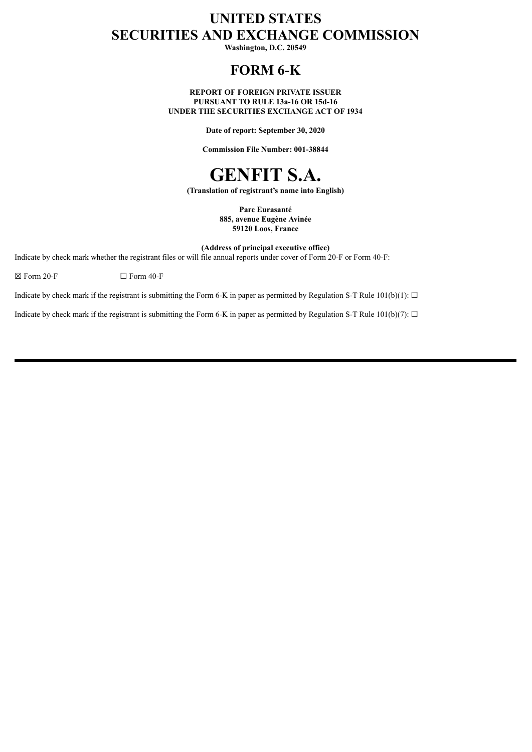# **UNITED STATES SECURITIES AND EXCHANGE COMMISSION**

**Washington, D.C. 20549**

# **FORM 6-K**

**REPORT OF FOREIGN PRIVATE ISSUER PURSUANT TO RULE 13a-16 OR 15d-16 UNDER THE SECURITIES EXCHANGE ACT OF 1934**

**Date of report: September 30, 2020**

**Commission File Number: 001-38844**



**(Translation of registrant's name into English)**

**Parc Eurasanté 885, avenue Eugène Avinée 59120 Loos, France**

**(Address of principal executive office)**

Indicate by check mark whether the registrant files or will file annual reports under cover of Form 20-F or Form 40-F:

 $\boxtimes$  Form 20-F  $\Box$  Form 40-F

Indicate by check mark if the registrant is submitting the Form 6-K in paper as permitted by Regulation S-T Rule 101(b)(1):  $\Box$ 

Indicate by check mark if the registrant is submitting the Form 6-K in paper as permitted by Regulation S-T Rule 101(b)(7):  $\Box$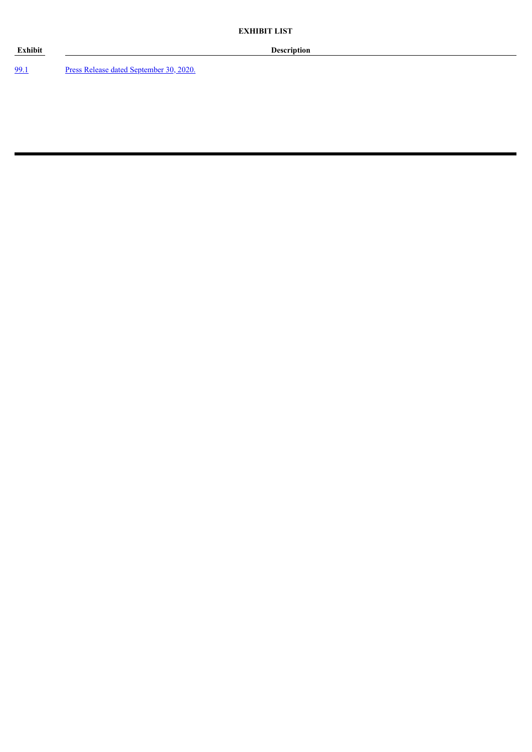[99.1](#page-3-0) Press Release dated [September](#page-3-0) 30, 2020.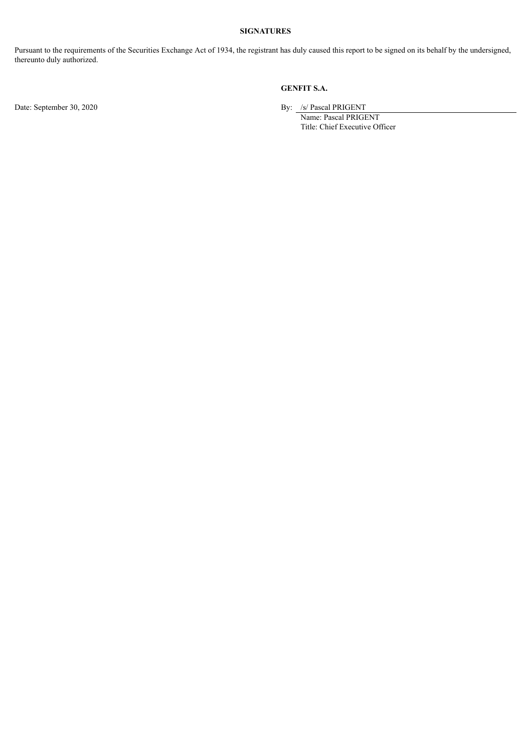#### **SIGNATURES**

Pursuant to the requirements of the Securities Exchange Act of 1934, the registrant has duly caused this report to be signed on its behalf by the undersigned, thereunto duly authorized.

### **GENFIT S.A.**

Date: September 30, 2020 By: /s/ Pascal PRIGENT

Name: Pascal PRIGENT Title: Chief Executive Officer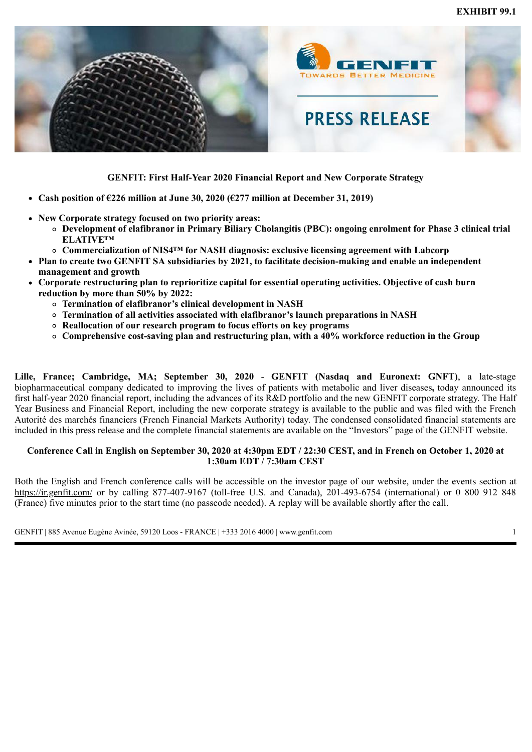<span id="page-3-0"></span>

### **GENFIT: First Half-Year 2020 Financial Report and New Corporate Strategy**

- **Cash position of €226 million at June 30, 2020 (€277 million at December 31, 2019)**
- **New Corporate strategy focused on two priority areas:**
	- **Development of elafibranor in Primary Biliary Cholangitis (PBC): ongoing enrolment for Phase 3 clinical trial ELATIVE™**
	- **Commercialization of NIS4™ for NASH diagnosis: exclusive licensing agreement with Labcorp**
- **Plan to create two GENFIT SA subsidiaries by 2021, to facilitate decision-making and enable an independent management and growth**
- **Corporate restructuring plan to reprioritize capital for essential operating activities. Objective of cash burn reduction by more than 50% by 2022:**
	- **Termination of elafibranor's clinical development in NASH**
	- **Termination of all activities associated with elafibranor's launch preparations in NASH**
	- **Reallocation of our research program to focus efforts on key programs**
	- **Comprehensive cost-saving plan and restructuring plan, with a 40% workforce reduction in the Group**

**Lille, France; Cambridge, MA; September 30, 2020** - **GENFIT (Nasdaq and Euronext: GNFT)**, a late-stage biopharmaceutical company dedicated to improving the lives of patients with metabolic and liver diseases**,** today announced its first half-year 2020 financial report, including the advances of its R&D portfolio and the new GENFIT corporate strategy. The Half Year Business and Financial Report, including the new corporate strategy is available to the public and was filed with the French Autorité des marchés financiers (French Financial Markets Authority) today. The condensed consolidated financial statements are included in this press release and the complete financial statements are available on the "Investors" page of the GENFIT website.

### **Conference Call in English on September 30, 2020 at 4:30pm EDT / 22:30 CEST, and in French on October 1, 2020 at 1:30am EDT / 7:30am CEST**

Both the English and French conference calls will be accessible on the investor page of our website, under the events section at https://ir.genfit.com/ or by calling 877-407-9167 (toll-free U.S. and Canada), 201-493-6754 (international) or 0 800 912 848 (France) five minutes prior to the start time (no passcode needed). A replay will be available shortly after the call.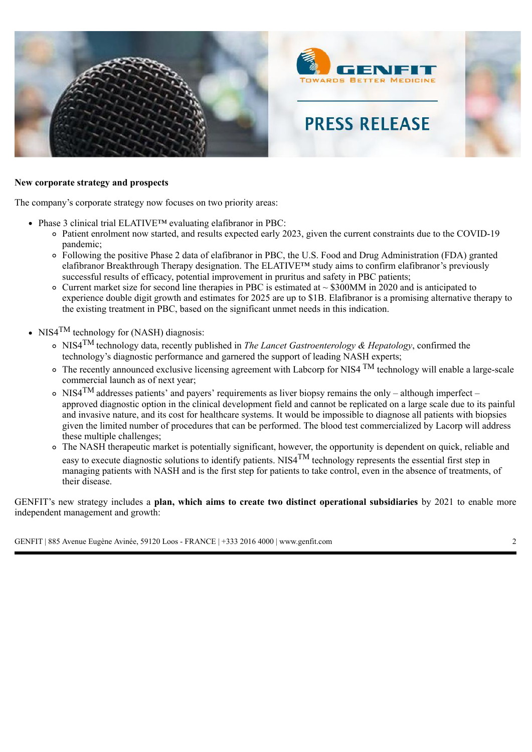

### **New corporate strategy and prospects**

The company's corporate strategy now focuses on two priority areas:

- Phase 3 clinical trial ELATIVE™ evaluating elafibranor in PBC:
	- Patient enrolment now started, and results expected early 2023, given the current constraints due to the COVID-19 pandemic;
	- Following the positive Phase 2 data of elafibranor in PBC, the U.S. Food and Drug Administration (FDA) granted elafibranor Breakthrough Therapy designation. The ELATIVE™ study aims to confirm elafibranor's previously successful results of efficacy, potential improvement in pruritus and safety in PBC patients;
	- $\circ$  Current market size for second line therapies in PBC is estimated at  $\sim$  \$300MM in 2020 and is anticipated to experience double digit growth and estimates for 2025 are up to \$1B. Elafibranor is a promising alternative therapy to the existing treatment in PBC, based on the significant unmet needs in this indication.
- NIS4<sup>TM</sup> technology for (NASH) diagnosis:
	- NIS4TM technology data, recently published in *The Lancet Gastroenterology & Hepatology*, confirmed the technology's diagnostic performance and garnered the support of leading NASH experts;
	- $\circ$  The recently announced exclusive licensing agreement with Labcorp for NIS4  $\text{TM}$  technology will enable a large-scale commercial launch as of next year;
	- $\sim$  NIS4<sup>TM</sup> addresses patients' and payers' requirements as liver biopsy remains the only although imperfect approved diagnostic option in the clinical development field and cannot be replicated on a large scale due to its painful and invasive nature, and its cost for healthcare systems. It would be impossible to diagnose all patients with biopsies given the limited number of procedures that can be performed. The blood test commercialized by Lacorp will address these multiple challenges;
	- The NASH therapeutic market is potentially significant, however, the opportunity is dependent on quick, reliable and easy to execute diagnostic solutions to identify patients. NIS4<sup>TM</sup> technology represents the essential first step in managing patients with NASH and is the first step for patients to take control, even in the absence of treatments, of their disease.

GENFIT's new strategy includes a **plan, which aims to create two distinct operational subsidiaries** by 2021 to enable more independent management and growth: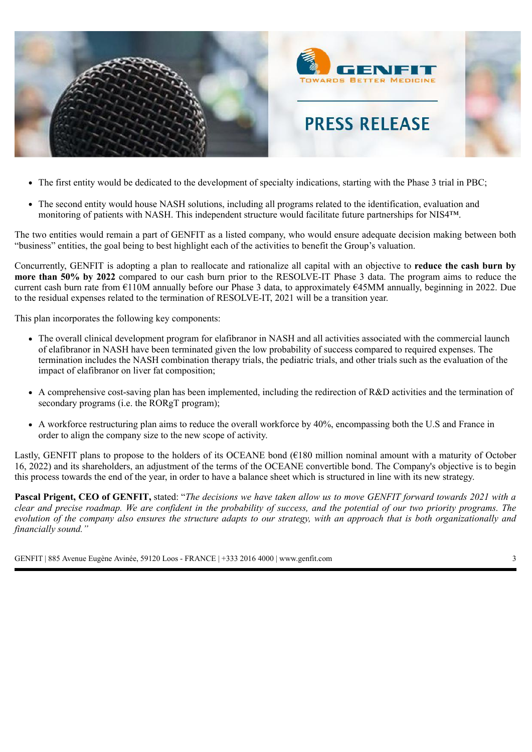

- The first entity would be dedicated to the development of specialty indications, starting with the Phase 3 trial in PBC;
- The second entity would house NASH solutions, including all programs related to the identification, evaluation and monitoring of patients with NASH. This independent structure would facilitate future partnerships for NIS4™.

The two entities would remain a part of GENFIT as a listed company, who would ensure adequate decision making between both "business" entities, the goal being to best highlight each of the activities to benefit the Group's valuation.

Concurrently, GENFIT is adopting a plan to reallocate and rationalize all capital with an objective to **reduce the cash burn by more than 50% by 2022** compared to our cash burn prior to the RESOLVE-IT Phase 3 data. The program aims to reduce the current cash burn rate from €110M annually before our Phase 3 data, to approximately €45MM annually, beginning in 2022. Due to the residual expenses related to the termination of RESOLVE-IT, 2021 will be a transition year.

This plan incorporates the following key components:

- The overall clinical development program for elafibranor in NASH and all activities associated with the commercial launch of elafibranor in NASH have been terminated given the low probability of success compared to required expenses. The termination includes the NASH combination therapy trials, the pediatric trials, and other trials such as the evaluation of the impact of elafibranor on liver fat composition;
- A comprehensive cost-saving plan has been implemented, including the redirection of R&D activities and the termination of secondary programs (i.e. the RORgT program);
- A workforce restructuring plan aims to reduce the overall workforce by 40%, encompassing both the U.S and France in order to align the company size to the new scope of activity.

Lastly, GENFIT plans to propose to the holders of its OCEANE bond  $(€180 \text{ million nominal amount with a maturity of October})$ 16, 2022) and its shareholders, an adjustment of the terms of the OCEANE convertible bond. The Company's objective is to begin this process towards the end of the year, in order to have a balance sheet which is structured in line with its new strategy.

**Pascal Prigent, CEO of GENFIT,** stated: "*The decisions we have taken allow us to move GENFIT forward towards 2021 with a clear and precise roadmap. We are confident in the probability of success, and the potential of our two priority programs. The evolution of the company also ensures the structure adapts to our strategy, with an approach that is both organizationally and financially sound."*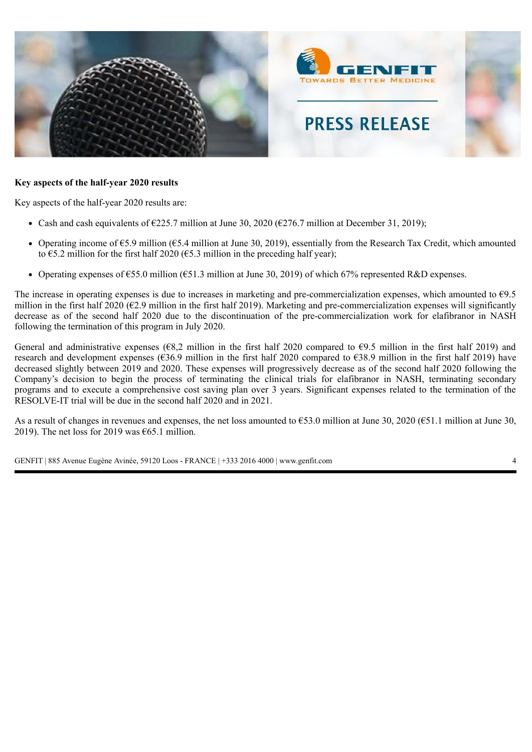

### **Key aspects of the half-year 2020 results**

Key aspects of the half-year 2020 results are:

- Cash and cash equivalents of  $\epsilon$ 225.7 million at June 30, 2020 ( $\epsilon$ 276.7 million at December 31, 2019);
- Operating income of  $65.9$  million ( $65.4$  million at June 30, 2019), essentially from the Research Tax Credit, which amounted to  $\epsilon$ 5.2 million for the first half 2020 ( $\epsilon$ 5.3 million in the preceding half year);
- Operating expenses of  $\epsilon$ 55.0 million ( $\epsilon$ 51.3 million at June 30, 2019) of which 67% represented R&D expenses.

The increase in operating expenses is due to increases in marketing and pre-commercialization expenses, which amounted to  $\epsilon$ 9.5 million in the first half 2020 ( $\epsilon$ 2.9 million in the first half 2019). Marketing and pre-commercialization expenses will significantly decrease as of the second half 2020 due to the discontinuation of the pre-commercialization work for elafibranor in NASH following the termination of this program in July 2020.

General and administrative expenses ( $68,2$  million in the first half 2020 compared to  $69.5$  million in the first half 2019) and research and development expenses (€36.9 million in the first half 2020 compared to €38.9 million in the first half 2019) have decreased slightly between 2019 and 2020. These expenses will progressively decrease as of the second half 2020 following the Company's decision to begin the process of terminating the clinical trials for elafibranor in NASH, terminating secondary programs and to execute a comprehensive cost saving plan over 3 years. Significant expenses related to the termination of the RESOLVE-IT trial will be due in the second half 2020 and in 2021.

As a result of changes in revenues and expenses, the net loss amounted to  $\epsilon$ 53.0 million at June 30, 2020 ( $\epsilon$ 51.1 million at June 30, 2019). The net loss for 2019 was  $\epsilon$ 65.1 million.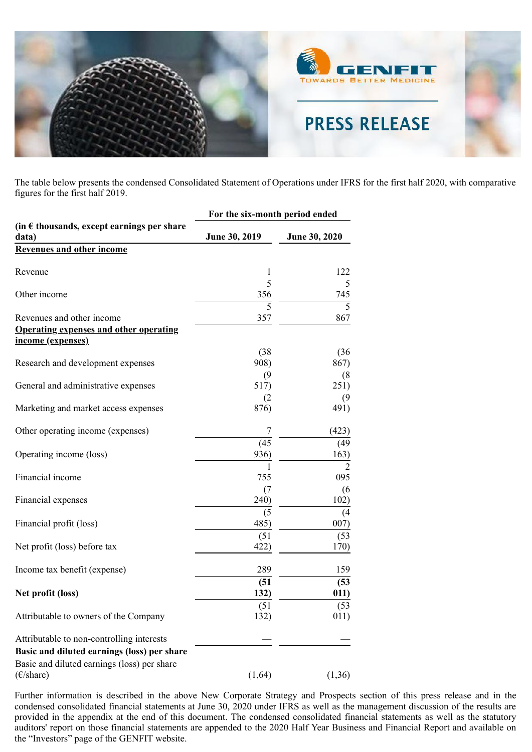

The table below presents the condensed Consolidated Statement of Operations under IFRS for the first half 2020, with comparative figures for the first half 2019.

|                                                              |               | For the six-month period ended |  |  |  |
|--------------------------------------------------------------|---------------|--------------------------------|--|--|--|
| (in $\epsilon$ thousands, except earnings per share<br>data) | June 30, 2019 | June 30, 2020                  |  |  |  |
| <b>Revenues and other income</b>                             |               |                                |  |  |  |
| Revenue                                                      | 1             | 122                            |  |  |  |
|                                                              | 5             | 5                              |  |  |  |
| Other income                                                 | 356           | 745                            |  |  |  |
| Revenues and other income                                    | 5<br>357      | 5<br>867                       |  |  |  |
| <b>Operating expenses and other operating</b>                |               |                                |  |  |  |
| income (expenses)                                            |               |                                |  |  |  |
|                                                              | (38)          | (36)                           |  |  |  |
| Research and development expenses                            | 908)          | 867)                           |  |  |  |
|                                                              | (9)           |                                |  |  |  |
| General and administrative expenses                          | 517)          | (8)<br>251)                    |  |  |  |
|                                                              |               |                                |  |  |  |
| Marketing and market access expenses                         | (2)<br>876)   | (9)<br>491)                    |  |  |  |
|                                                              |               |                                |  |  |  |
| Other operating income (expenses)                            | 7             | (423)                          |  |  |  |
|                                                              | (45)          | (49)                           |  |  |  |
| Operating income (loss)                                      | 936)          | 163)                           |  |  |  |
|                                                              | 1             | $\overline{2}$                 |  |  |  |
| Financial income                                             | 755           | 095                            |  |  |  |
|                                                              | (7)           | (6)                            |  |  |  |
| Financial expenses                                           | 240)          | 102)                           |  |  |  |
|                                                              | (5)           | (4)                            |  |  |  |
| Financial profit (loss)                                      | 485)          | 007)                           |  |  |  |
|                                                              | (51)          | (53)                           |  |  |  |
| Net profit (loss) before tax                                 | 422)          | 170)                           |  |  |  |
|                                                              | 289           |                                |  |  |  |
| Income tax benefit (expense)                                 |               | 159                            |  |  |  |
|                                                              | (51)          | (53)                           |  |  |  |
| Net profit (loss)                                            | 132)          | 011)                           |  |  |  |
|                                                              | (51)          | (53)                           |  |  |  |
| Attributable to owners of the Company                        | 132)          | 011)                           |  |  |  |
| Attributable to non-controlling interests                    |               |                                |  |  |  |
| Basic and diluted earnings (loss) per share                  |               |                                |  |  |  |
| Basic and diluted earnings (loss) per share                  |               |                                |  |  |  |
| $(\epsilon$ /share)                                          | (1,64)        | (1,36)                         |  |  |  |

Further information is described in the above New Corporate Strategy and Prospects section of this press release and in the condensed consolidated financial statements at June 30, 2020 under IFRS as well as the management discussion of the results are provided in the appendix at the end of this document. The condensed consolidated financial statements as well as the statutory auditors' report on those financial statements are appended to the 2020 Half Year Business and Financial Report and available on the "Investors" page of the GENFIT website.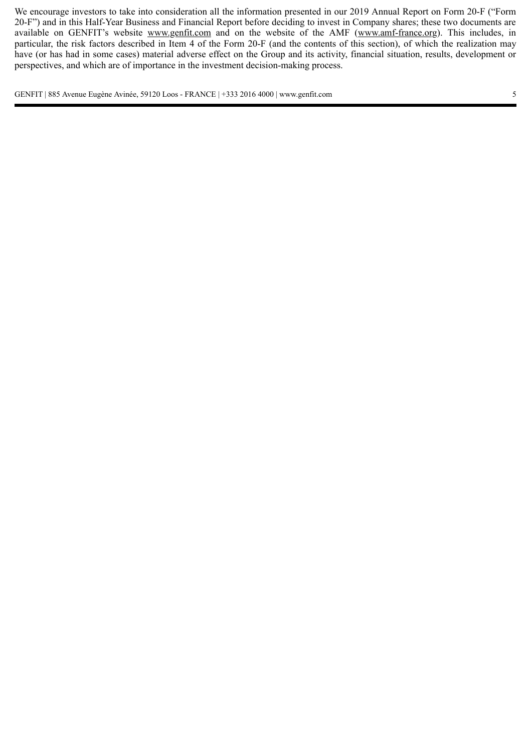We encourage investors to take into consideration all the information presented in our 2019 Annual Report on Form 20-F ("Form 20-F") and in this Half-Year Business and Financial Report before deciding to invest in Company shares; these two documents are available on GENFIT's website www.genfit.com and on the website of the AMF (www.amf-france.org). This includes, in particular, the risk factors described in Item 4 of the Form 20-F (and the contents of this section), of which the realization may have (or has had in some cases) material adverse effect on the Group and its activity, financial situation, results, development or perspectives, and which are of importance in the investment decision-making process.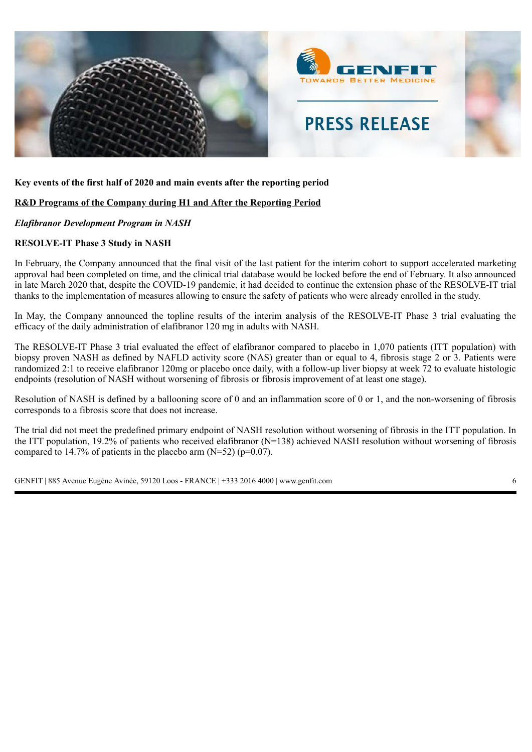

### **Key events of the first half of 2020 and main events after the reporting period**

### **R&D Programs of the Company during H1 and After the Reporting Period**

### *Elafibranor Development Program in NASH*

### **RESOLVE-IT Phase 3 Study in NASH**

In February, the Company announced that the final visit of the last patient for the interim cohort to support accelerated marketing approval had been completed on time, and the clinical trial database would be locked before the end of February. It also announced in late March 2020 that, despite the COVID-19 pandemic, it had decided to continue the extension phase of the RESOLVE-IT trial thanks to the implementation of measures allowing to ensure the safety of patients who were already enrolled in the study.

In May, the Company announced the topline results of the interim analysis of the RESOLVE-IT Phase 3 trial evaluating the efficacy of the daily administration of elafibranor 120 mg in adults with NASH.

The RESOLVE-IT Phase 3 trial evaluated the effect of elafibranor compared to placebo in 1,070 patients (ITT population) with biopsy proven NASH as defined by NAFLD activity score (NAS) greater than or equal to 4, fibrosis stage 2 or 3. Patients were randomized 2:1 to receive elafibranor 120mg or placebo once daily, with a follow-up liver biopsy at week 72 to evaluate histologic endpoints (resolution of NASH without worsening of fibrosis or fibrosis improvement of at least one stage).

Resolution of NASH is defined by a ballooning score of 0 and an inflammation score of 0 or 1, and the non-worsening of fibrosis corresponds to a fibrosis score that does not increase.

The trial did not meet the predefined primary endpoint of NASH resolution without worsening of fibrosis in the ITT population. In the ITT population, 19.2% of patients who received elafibranor  $(N=138)$  achieved NASH resolution without worsening of fibrosis compared to 14.7% of patients in the placebo arm  $(N=52)$  (p=0.07).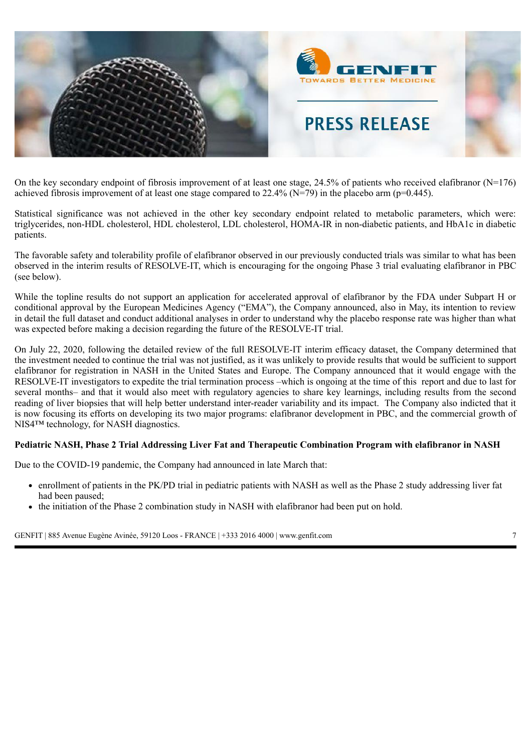

On the key secondary endpoint of fibrosis improvement of at least one stage,  $24.5\%$  of patients who received elafibranor (N=176) achieved fibrosis improvement of at least one stage compared to 22.4% (N=79) in the placebo arm (p=0.445).

Statistical significance was not achieved in the other key secondary endpoint related to metabolic parameters, which were: triglycerides, non-HDL cholesterol, HDL cholesterol, LDL cholesterol, HOMA-IR in non-diabetic patients, and HbA1c in diabetic patients.

The favorable safety and tolerability profile of elafibranor observed in our previously conducted trials was similar to what has been observed in the interim results of RESOLVE-IT, which is encouraging for the ongoing Phase 3 trial evaluating elafibranor in PBC (see below).

While the topline results do not support an application for accelerated approval of elafibranor by the FDA under Subpart H or conditional approval by the European Medicines Agency ("EMA"), the Company announced, also in May, its intention to review in detail the full dataset and conduct additional analyses in order to understand why the placebo response rate was higher than what was expected before making a decision regarding the future of the RESOLVE-IT trial.

On July 22, 2020, following the detailed review of the full RESOLVE-IT interim efficacy dataset, the Company determined that the investment needed to continue the trial was not justified, as it was unlikely to provide results that would be sufficient to support elafibranor for registration in NASH in the United States and Europe. The Company announced that it would engage with the RESOLVE-IT investigators to expedite the trial termination process –which is ongoing at the time of this report and due to last for several months– and that it would also meet with regulatory agencies to share key learnings, including results from the second reading of liver biopsies that will help better understand inter-reader variability and its impact. The Company also indicted that it is now focusing its efforts on developing its two major programs: elafibranor development in PBC, and the commercial growth of NIS4<sup>™</sup> technology, for NASH diagnostics.

### **Pediatric NASH, Phase 2 Trial Addressing Liver Fat and Therapeutic Combination Program with elafibranor in NASH**

Due to the COVID-19 pandemic, the Company had announced in late March that:

- enrollment of patients in the PK/PD trial in pediatric patients with NASH as well as the Phase 2 study addressing liver fat had been paused;
- the initiation of the Phase 2 combination study in NASH with elafibranor had been put on hold.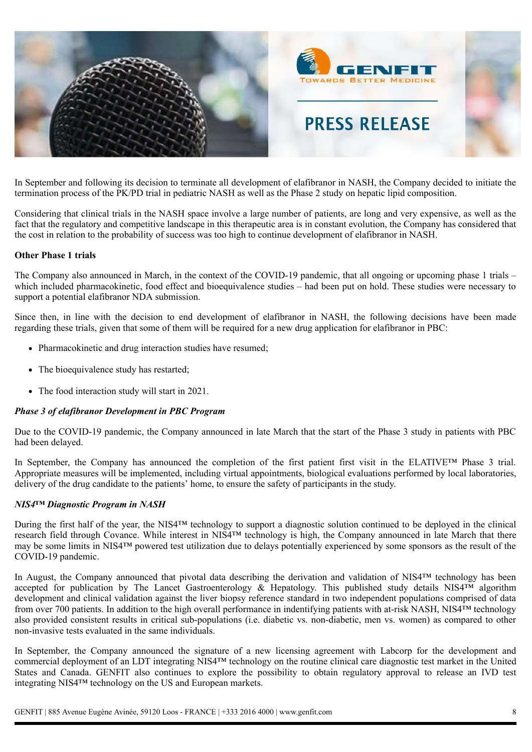

In September and following its decision to terminate all development of elafibranor in NASH, the Company decided to initiate the termination process of the PK/PD trial in pediatric NASH as well as the Phase 2 study on hepatic lipid composition.

Considering that clinical trials in the NASH space involve a large number of patients, are long and very expensive, as well as the fact that the regulatory and competitive landscape in this therapeutic area is in constant evolution, the Company has considered that the cost in relation to the probability of success was too high to continue development of elafibranor in NASH.

### **Other Phase 1 trials**

The Company also announced in March, in the context of the COVID-19 pandemic, that all ongoing or upcoming phase 1 trials – which included pharmacokinetic, food effect and bioequivalence studies – had been put on hold. These studies were necessary to support a potential elafibranor NDA submission.

Since then, in line with the decision to end development of elafibranor in NASH, the following decisions have been made regarding these trials, given that some of them will be required for a new drug application for elafibranor in PBC:

- Pharmacokinetic and drug interaction studies have resumed;
- The bioequivalence study has restarted;
- The food interaction study will start in 2021.

#### *Phase 3 of elafibranor Development in PBC Program*

Due to the COVID-19 pandemic, the Company announced in late March that the start of the Phase 3 study in patients with PBC had been delayed.

In September, the Company has announced the completion of the first patient first visit in the ELATIVE™ Phase 3 trial. Appropriate measures will be implemented, including virtual appointments, biological evaluations performed by local laboratories, delivery of the drug candidate to the patients' home, to ensure the safety of participants in the study.

### *NIS4™ Diagnostic Program in NASH*

During the first half of the year, the NIS4™ technology to support a diagnostic solution continued to be deployed in the clinical research field through Covance. While interest in NIS4™ technology is high, the Company announced in late March that there may be some limits in NIS4™ powered test utilization due to delays potentially experienced by some sponsors as the result of the COVID-19 pandemic.

In August, the Company announced that pivotal data describing the derivation and validation of NIS4™ technology has been accepted for publication by The Lancet Gastroenterology  $\&$  Hepatology. This published study details NIS4<sup>TM</sup> algorithm development and clinical validation against the liver biopsy reference standard in two independent populations comprised of data from over 700 patients. In addition to the high overall performance in indentifying patients with at-risk NASH, NIS4™ technology also provided consistent results in critical sub-populations (i.e. diabetic vs. non-diabetic, men vs. women) as compared to other non-invasive tests evaluated in the same individuals.

In September, the Company announced the signature of a new licensing agreement with Labcorp for the development and commercial deployment of an LDT integrating NIS4™ technology on the routine clinical care diagnostic test market in the United States and Canada. GENFIT also continues to explore the possibility to obtain regulatory approval to release an IVD test integrating NIS4™ technology on the US and European markets.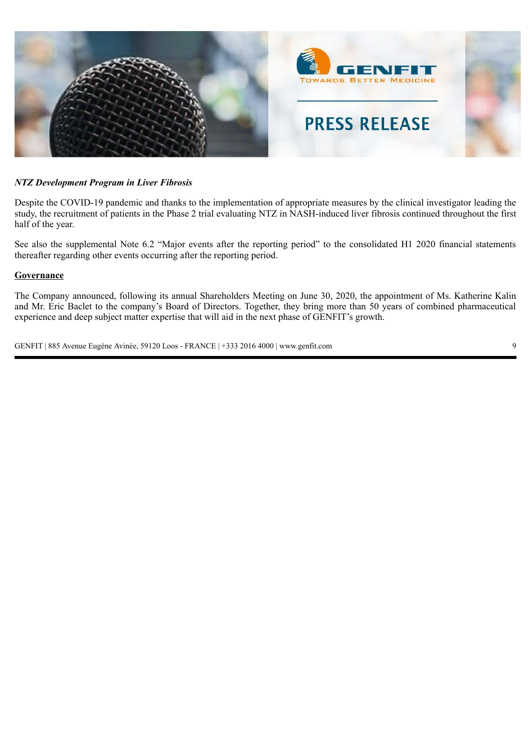

### *NTZ Development Program in Liver Fibrosis*

Despite the COVID-19 pandemic and thanks to the implementation of appropriate measures by the clinical investigator leading the study, the recruitment of patients in the Phase 2 trial evaluating NTZ in NASH-induced liver fibrosis continued throughout the first half of the year.

See also the supplemental Note 6.2 "Major events after the reporting period" to the consolidated H1 2020 financial statements thereafter regarding other events occurring after the reporting period.

#### **Governance**

The Company announced, following its annual Shareholders Meeting on June 30, 2020, the appointment of Ms. Katherine Kalin and Mr. Eric Baclet to the company's Board of Directors. Together, they bring more than 50 years of combined pharmaceutical experience and deep subject matter expertise that will aid in the next phase of GENFIT's growth.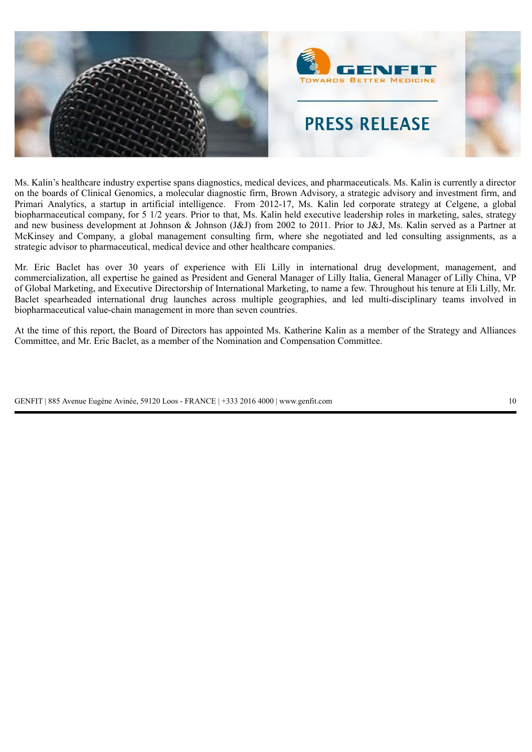

Ms. Kalin's healthcare industry expertise spans diagnostics, medical devices, and pharmaceuticals. Ms. Kalin is currently a director on the boards of Clinical Genomics, a molecular diagnostic firm, Brown Advisory, a strategic advisory and investment firm, and Primari Analytics, a startup in artificial intelligence. From 2012-17, Ms. Kalin led corporate strategy at Celgene, a global biopharmaceutical company, for 5 1/2 years. Prior to that, Ms. Kalin held executive leadership roles in marketing, sales, strategy and new business development at Johnson & Johnson (J&J) from 2002 to 2011. Prior to J&J, Ms. Kalin served as a Partner at McKinsey and Company, a global management consulting firm, where she negotiated and led consulting assignments, as a strategic advisor to pharmaceutical, medical device and other healthcare companies.

Mr. Eric Baclet has over 30 years of experience with Eli Lilly in international drug development, management, and commercialization, all expertise he gained as President and General Manager of Lilly Italia, General Manager of Lilly China, VP of Global Marketing, and Executive Directorship of International Marketing, to name a few. Throughout his tenure at Eli Lilly, Mr. Baclet spearheaded international drug launches across multiple geographies, and led multi-disciplinary teams involved in biopharmaceutical value-chain management in more than seven countries.

At the time of this report, the Board of Directors has appointed Ms. Katherine Kalin as a member of the Strategy and Alliances Committee, and Mr. Eric Baclet, as a member of the Nomination and Compensation Committee.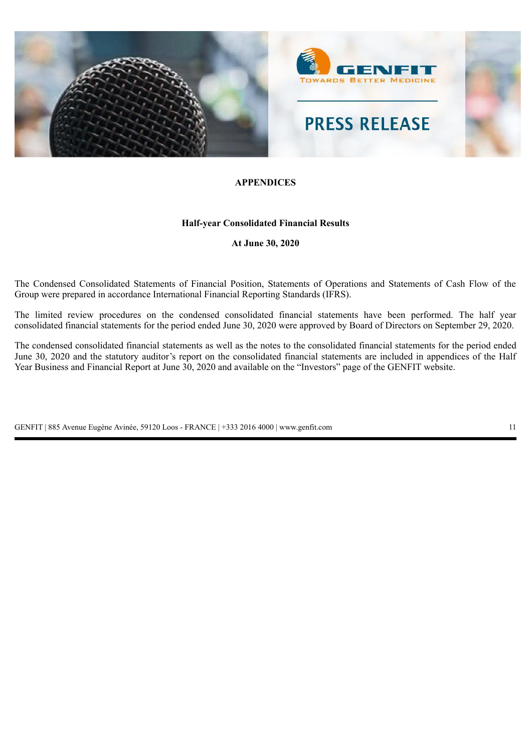

### **APPENDICES**

### **Half-year Consolidated Financial Results**

**At June 30, 2020**

The Condensed Consolidated Statements of Financial Position, Statements of Operations and Statements of Cash Flow of the Group were prepared in accordance International Financial Reporting Standards (IFRS).

The limited review procedures on the condensed consolidated financial statements have been performed. The half year consolidated financial statements for the period ended June 30, 2020 were approved by Board of Directors on September 29, 2020.

The condensed consolidated financial statements as well as the notes to the consolidated financial statements for the period ended June 30, 2020 and the statutory auditor's report on the consolidated financial statements are included in appendices of the Half Year Business and Financial Report at June 30, 2020 and available on the "Investors" page of the GENFIT website.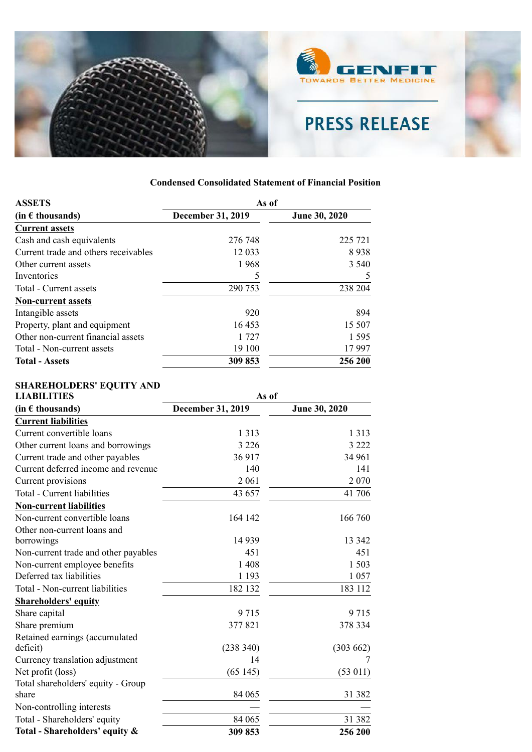

| <b>ASSETS</b>                        |                          | As of         |  |  |  |
|--------------------------------------|--------------------------|---------------|--|--|--|
| $(in \in$ thousands)                 | <b>December 31, 2019</b> | June 30, 2020 |  |  |  |
| <b>Current assets</b>                |                          |               |  |  |  |
| Cash and cash equivalents            | 276 748                  | 225 721       |  |  |  |
| Current trade and others receivables | 12 0 33                  | 8938          |  |  |  |
| Other current assets                 | 1968                     | 3 5 4 0       |  |  |  |
| Inventories                          | 5                        | 5             |  |  |  |
| Total - Current assets               | 290 753                  | 238 204       |  |  |  |
| <b>Non-current assets</b>            |                          |               |  |  |  |
| Intangible assets                    | 920                      | 894           |  |  |  |
| Property, plant and equipment        | 16453                    | 15 507        |  |  |  |
| Other non-current financial assets   | 1 727                    | 1 5 9 5       |  |  |  |
| Total - Non-current assets           | 19 100                   | 17997         |  |  |  |
| <b>Total - Assets</b>                | 309 853                  | 256 200       |  |  |  |

# **Condensed Consolidated Statement of Financial Position**

### **SHAREHOLDERS' EQUITY AND**

| <b>LIABILITIES</b>                   | As of             |               |  |  |  |
|--------------------------------------|-------------------|---------------|--|--|--|
| (in $\epsilon$ thousands)            | December 31, 2019 | June 30, 2020 |  |  |  |
| <b>Current liabilities</b>           |                   |               |  |  |  |
| Current convertible loans            | 1 3 1 3           | 1 3 1 3       |  |  |  |
| Other current loans and borrowings   | 3 2 2 6           | 3 2 2 2       |  |  |  |
| Current trade and other payables     | 36917             | 34 961        |  |  |  |
| Current deferred income and revenue  | 140               | 141           |  |  |  |
| Current provisions                   | 2 0 6 1           | 2070          |  |  |  |
| Total - Current liabilities          | 43 657            | 41 706        |  |  |  |
| <b>Non-current liabilities</b>       |                   |               |  |  |  |
| Non-current convertible loans        | 164 142           | 166 760       |  |  |  |
| Other non-current loans and          |                   |               |  |  |  |
| borrowings                           | 14 9 39           | 13 342        |  |  |  |
| Non-current trade and other payables | 451               | 451           |  |  |  |
| Non-current employee benefits        | 1 4 0 8           | 1503          |  |  |  |
| Deferred tax liabilities             | 1 1 9 3           | 1057          |  |  |  |
| Total - Non-current liabilities      | 182 132           | 183 112       |  |  |  |
| <b>Shareholders' equity</b>          |                   |               |  |  |  |
| Share capital                        | 9715              | 9715          |  |  |  |
| Share premium                        | 377821            | 378 334       |  |  |  |
| Retained earnings (accumulated       |                   |               |  |  |  |
| deficit)                             | (238 340)         | (303662)      |  |  |  |
| Currency translation adjustment      | 14                | 7             |  |  |  |
| Net profit (loss)                    | (65145)           | (53 011)      |  |  |  |
| Total shareholders' equity - Group   |                   |               |  |  |  |
| share                                | 84 065            | 31 382        |  |  |  |
| Non-controlling interests            |                   |               |  |  |  |
| Total - Shareholders' equity         | 84 065            | 31 382        |  |  |  |
| Total - Shareholders' equity &       | 309853            | 256 200       |  |  |  |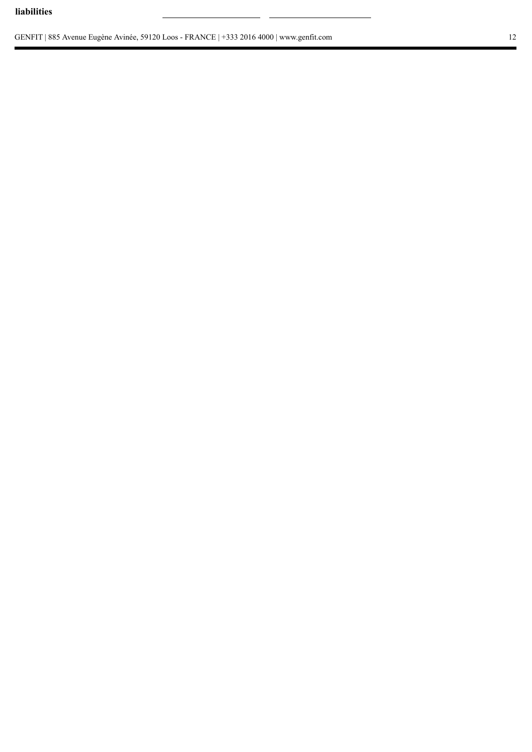### **liabilities**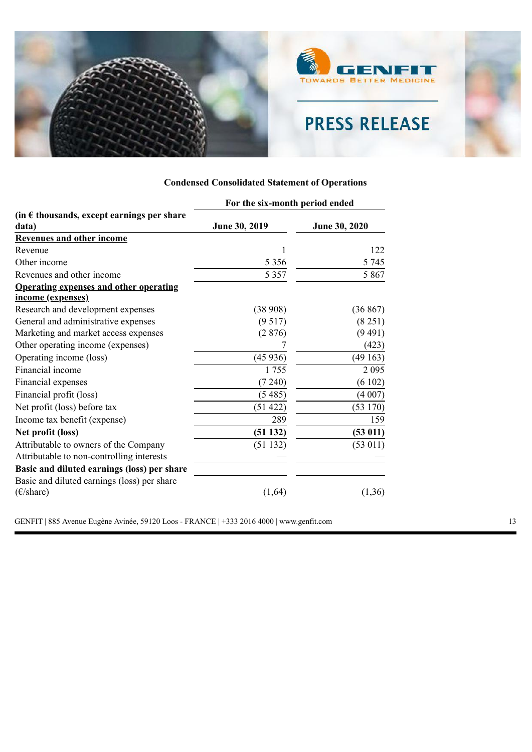

## **Condensed Consolidated Statement of Operations**

|                                                     | For the six-month period ended |               |  |  |
|-----------------------------------------------------|--------------------------------|---------------|--|--|
| (in $\epsilon$ thousands, except earnings per share |                                |               |  |  |
| data)                                               | June 30, 2019                  | June 30, 2020 |  |  |
| <b>Revenues and other income</b>                    |                                |               |  |  |
| Revenue                                             | 1                              | 122           |  |  |
| Other income                                        | 5 3 5 6                        | 5 7 4 5       |  |  |
| Revenues and other income                           | 5 3 5 7                        | 5 8 6 7       |  |  |
| <b>Operating expenses and other operating</b>       |                                |               |  |  |
| income (expenses)                                   |                                |               |  |  |
| Research and development expenses                   | (38908)                        | (36 867)      |  |  |
| General and administrative expenses                 | (9517)                         | (8251)        |  |  |
| Marketing and market access expenses                | (2876)                         | (9491)        |  |  |
| Other operating income (expenses)                   |                                | (423)         |  |  |
| Operating income (loss)                             | (45936)                        | (49163)       |  |  |
| Financial income                                    | 1755                           | 2 0 9 5       |  |  |
| Financial expenses                                  | (7240)                         | (6102)        |  |  |
| Financial profit (loss)                             | (5485)                         | (4007)        |  |  |
| Net profit (loss) before tax                        | (51 422)                       | (53170)       |  |  |
| Income tax benefit (expense)                        | 289                            | 159           |  |  |
| Net profit (loss)                                   | (51132)                        | (53 011)      |  |  |
| Attributable to owners of the Company               | (51132)                        | (53 011)      |  |  |
| Attributable to non-controlling interests           |                                |               |  |  |
| Basic and diluted earnings (loss) per share         |                                |               |  |  |
| Basic and diluted earnings (loss) per share         |                                |               |  |  |
| $(\epsilon$ /share)                                 | (1, 64)                        | (1,36)        |  |  |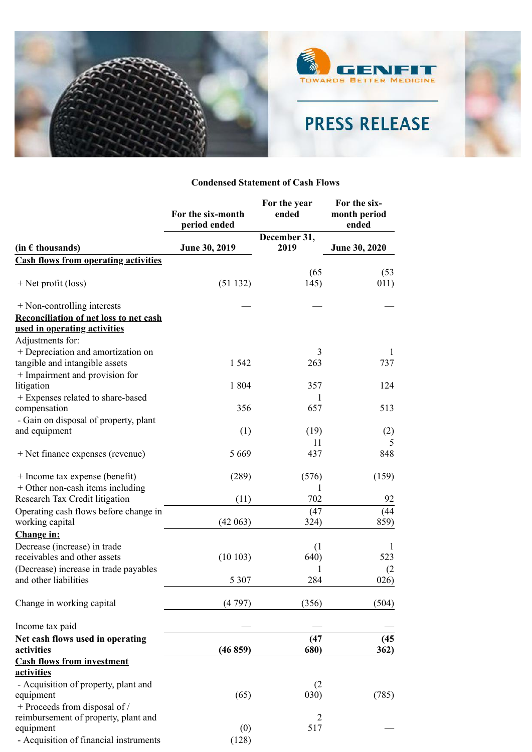

### **Condensed Statement of Cash Flows**

|                                                   | For the six-month<br>period ended | For the year<br>ended | For the six-<br>month period<br>ended |
|---------------------------------------------------|-----------------------------------|-----------------------|---------------------------------------|
|                                                   |                                   | December 31,          |                                       |
| $(in \in$ thousands)                              | June 30, 2019                     | 2019                  | June 30, 2020                         |
| <b>Cash flows from operating activities</b>       |                                   |                       |                                       |
|                                                   |                                   | (65)                  | (53)                                  |
| $+$ Net profit (loss)                             | (51132)                           | 145)                  | 011)                                  |
| + Non-controlling interests                       |                                   |                       |                                       |
| Reconciliation of net loss to net cash            |                                   |                       |                                       |
| used in operating activities                      |                                   |                       |                                       |
| Adjustments for:                                  |                                   |                       |                                       |
| + Depreciation and amortization on                |                                   | 3                     | 1                                     |
| tangible and intangible assets                    | 1 5 4 2                           | 263                   | 737                                   |
| + Impairment and provision for                    |                                   |                       |                                       |
| litigation                                        | 1 804                             | 357                   | 124                                   |
| + Expenses related to share-based<br>compensation | 356                               | 1<br>657              | 513                                   |
| - Gain on disposal of property, plant             |                                   |                       |                                       |
| and equipment                                     | (1)                               | (19)                  | (2)                                   |
|                                                   |                                   | 11                    | 5                                     |
| + Net finance expenses (revenue)                  | 5 6 6 9                           | 437                   | 848                                   |
| + Income tax expense (benefit)                    | (289)                             | (576)                 | (159)                                 |
| $+$ Other non-cash items including                |                                   | 1                     |                                       |
| Research Tax Credit litigation                    | (11)                              | 702                   | 92                                    |
| Operating cash flows before change in             |                                   | (47)                  | (44)                                  |
| working capital                                   | (42063)                           | 324)                  | 859)                                  |
| Change in:                                        |                                   |                       |                                       |
| Decrease (increase) in trade                      |                                   | (1)                   | 1                                     |
| receivables and other assets                      | (10103)                           | 640)                  | 523                                   |
| (Decrease) increase in trade payables             |                                   |                       | (2)                                   |
| and other liabilities                             | 5 3 0 7                           | 284                   | 026)                                  |
| Change in working capital                         | (4797)                            | (356)                 | (504)                                 |
| Income tax paid                                   |                                   |                       |                                       |
| Net cash flows used in operating                  |                                   | (47)                  | (45)                                  |
| activities                                        | (46859)                           | 680)                  | 362)                                  |
| <b>Cash flows from investment</b><br>activities   |                                   |                       |                                       |
| - Acquisition of property, plant and              |                                   | (2)                   |                                       |
| equipment                                         | (65)                              | 030)                  | (785)                                 |
| + Proceeds from disposal of /                     |                                   |                       |                                       |
| reimbursement of property, plant and              |                                   | 2                     |                                       |
| equipment                                         | (0)                               | 517                   |                                       |
| - Acquisition of financial instruments            | (128)                             |                       |                                       |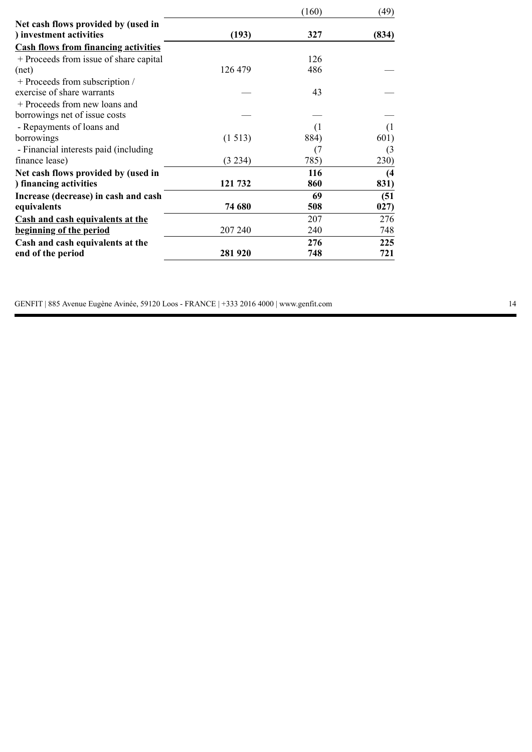|                                             |         | (160)            | (49)  |
|---------------------------------------------|---------|------------------|-------|
| Net cash flows provided by (used in         |         |                  |       |
| ) investment activities                     | (193)   | 327              | (834) |
| <b>Cash flows from financing activities</b> |         |                  |       |
| + Proceeds from issue of share capital      |         | 126              |       |
| (net)                                       | 126 479 | 486              |       |
| + Proceeds from subscription /              |         |                  |       |
| exercise of share warrants                  |         | 43               |       |
| + Proceeds from new loans and               |         |                  |       |
| borrowings net of issue costs               |         |                  |       |
| - Repayments of loans and                   |         | $\left(1\right)$ | ( l   |
| borrowings                                  | (1513)  | 884)             | 601)  |
| - Financial interests paid (including)      |         | (7               | (3)   |
| finance lease)                              | (3 234) | 785)             | 230)  |
| Net cash flows provided by (used in         |         | 116              | (4)   |
| ) financing activities                      | 121 732 | 860              | 831)  |
| Increase (decrease) in cash and cash        |         | 69               | (51)  |
| equivalents                                 | 74 680  | 508              | 027)  |
| <b>Cash and cash equivalents at the</b>     |         | 207              | 276   |
| beginning of the period                     | 207 240 | 240              | 748   |
| Cash and cash equivalents at the            |         | 276              | 225   |
| end of the period                           | 281 920 | 748              | 721   |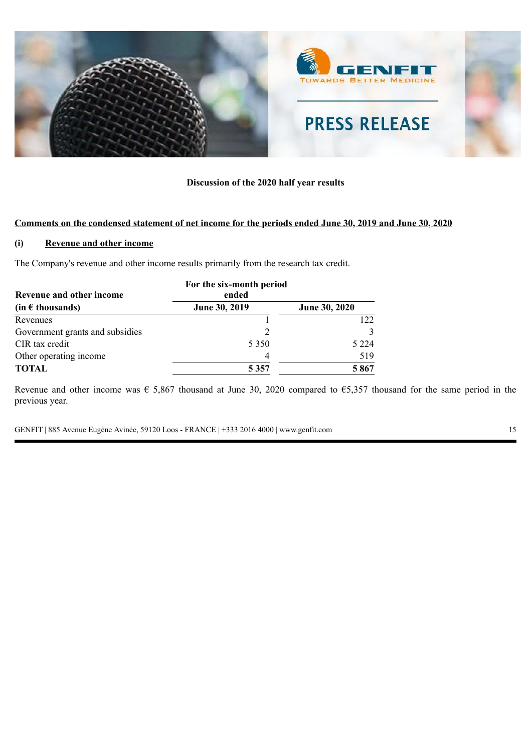

### **Discussion of the 2020 half year results**

### **Comments on the condensed statement of net income for the periods ended June 30, 2019 and June 30, 2020**

### **(i) Revenue and other income**

The Company's revenue and other income results primarily from the research tax credit.

| Revenue and other income        | For the six-month period<br>ended |               |
|---------------------------------|-----------------------------------|---------------|
| $(in \in$ thousands)            | June 30, 2019                     | June 30, 2020 |
| Revenues                        |                                   | 122           |
| Government grants and subsidies |                                   |               |
| CIR tax credit                  | 5 3 5 0                           | 5 2 2 4       |
| Other operating income          | 4                                 | 519           |
| <b>TOTAL</b>                    | 5 3 5 7                           | 5867          |

Revenue and other income was  $\epsilon$  5,867 thousand at June 30, 2020 compared to  $\epsilon$ 5,357 thousand for the same period in the previous year.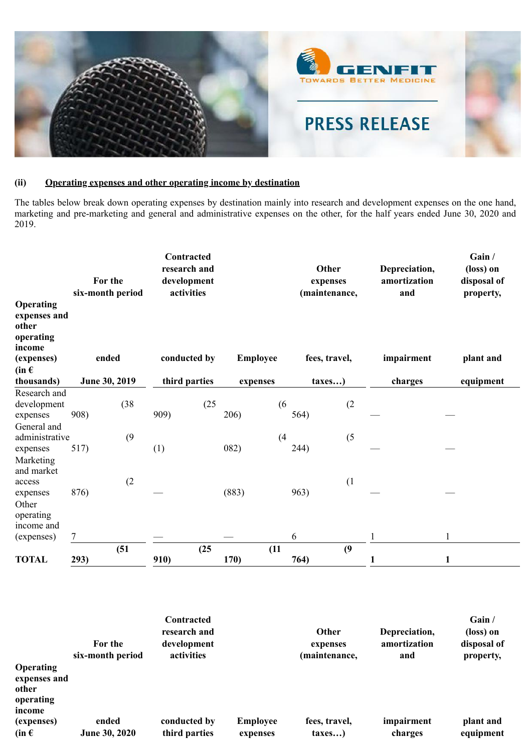

## **(ii) Operating expenses and other operating income by destination**

The tables below break down operating expenses by destination mainly into research and development expenses on the one hand, marketing and pre-marketing and general and administrative expenses on the other, for the half years ended June 30, 2020 and 2019.

|                                                                                      |      | For the<br>six-month period |      | Contracted<br>research and<br>development<br>activities |       |                 |      | Other<br>expenses<br>(maintenance, | Depreciation,<br>amortization<br>and | Gain /<br>(loss) on<br>disposal of<br>property, |
|--------------------------------------------------------------------------------------|------|-----------------------------|------|---------------------------------------------------------|-------|-----------------|------|------------------------------------|--------------------------------------|-------------------------------------------------|
| Operating<br>expenses and<br>other<br>operating<br>income<br>(expenses)<br>$(in \in$ |      | ended                       |      | conducted by                                            |       | <b>Employee</b> |      | fees, travel,                      | impairment                           | plant and                                       |
| thousands)                                                                           |      | June 30, 2019               |      | third parties                                           |       | expenses        |      | taxes)                             | charges                              | equipment                                       |
| Research and<br>development<br>expenses                                              | 908) | (38)                        | 909) | (25)                                                    | 206)  | (6)             | 564) | (2)                                |                                      |                                                 |
| General and<br>administrative<br>expenses                                            | 517) | (9)                         | (1)  |                                                         | 082)  | (4)             | 244) | (5)                                |                                      |                                                 |
| Marketing<br>and market<br>access<br>expenses                                        | 876) | (2)                         |      |                                                         | (883) |                 | 963) | (1)                                |                                      |                                                 |
| Other<br>operating<br>income and<br>(expenses)                                       | 7    |                             |      |                                                         |       |                 | 6    |                                    |                                      |                                                 |
| <b>TOTAL</b>                                                                         | 293) | (51)                        | 910) | (25)                                                    | 170)  | (11)            | 764) | (9)                                | 1                                    | 1                                               |

|                                                                  | For the<br>six-month period | Contracted<br>research and<br>development<br>activities |                             | Other<br>expenses<br>(maintenance, | Depreciation,<br>amortization<br>and | Gain /<br>(loss) on<br>disposal of<br>property, |
|------------------------------------------------------------------|-----------------------------|---------------------------------------------------------|-----------------------------|------------------------------------|--------------------------------------|-------------------------------------------------|
| <b>Operating</b><br>expenses and<br>other<br>operating<br>income |                             |                                                         |                             |                                    |                                      |                                                 |
| (expenses)<br>$(in \in$                                          | ended<br>June 30, 2020      | conducted by<br>third parties                           | <b>Employee</b><br>expenses | fees, travel,<br>taxes)            | impairment<br>charges                | plant and<br>equipment                          |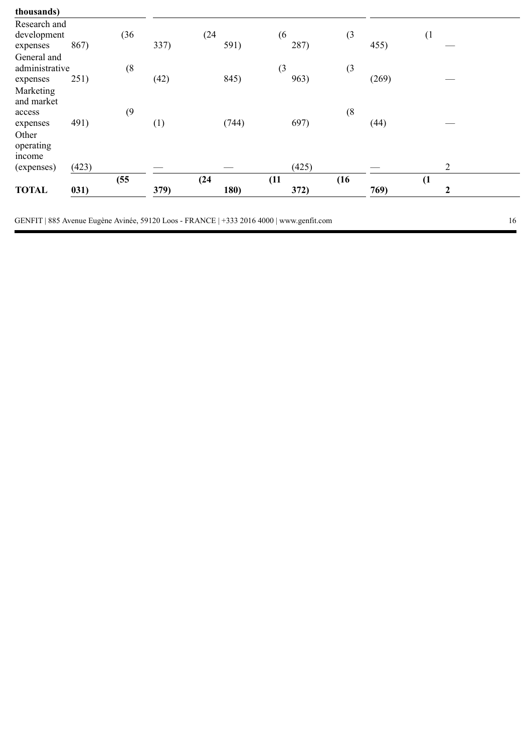| thousands)                                |       |      |      |              |             |      |       |                |  |
|-------------------------------------------|-------|------|------|--------------|-------------|------|-------|----------------|--|
| Research and<br>development<br>expenses   | 867)  | (36) | 337) | (24)<br>591) | (6)<br>287) | (3)  | 455)  | (1)            |  |
| General and<br>administrative<br>expenses | 251)  | (8)  | (42) | 845)         | (3)<br>963) | (3)  | (269) |                |  |
| Marketing<br>and market<br>access         | 491)  | (9)  |      | (744)        | 697)        | (8)  | (44)  |                |  |
| expenses<br>Other<br>operating<br>income  |       |      | (1)  |              |             |      |       |                |  |
| (expenses)                                | (423) |      |      |              | (425)       |      |       | $\overline{2}$ |  |
|                                           |       | (55) |      | (24)         | (11)        | (16) |       | (1)            |  |
| <b>TOTAL</b>                              | 031)  |      | 379) | 180)         | 372)        |      | 769)  | 2              |  |
|                                           |       |      |      |              |             |      |       |                |  |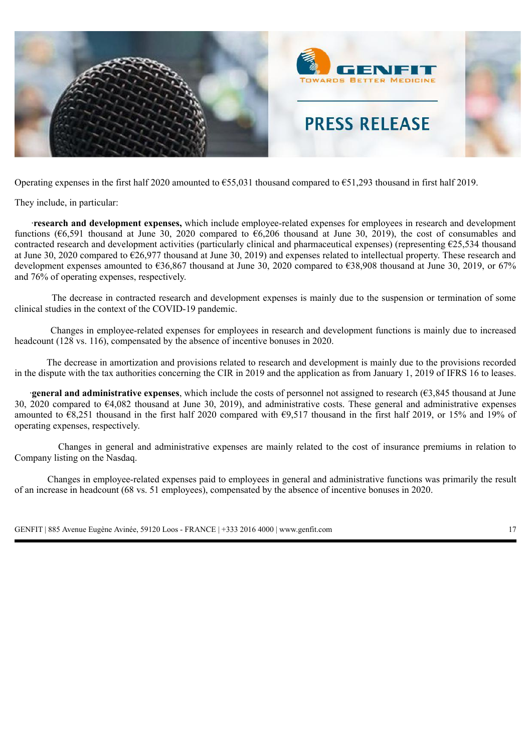

Operating expenses in the first half 2020 amounted to  $655,031$  thousand compared to  $651,293$  thousand in first half 2019.

They include, in particular:

·**research and development expenses,** which include employee-related expenses for employees in research and development functions ( $66,591$  thousand at June 30, 2020 compared to  $66,206$  thousand at June 30, 2019), the cost of consumables and contracted research and development activities (particularly clinical and pharmaceutical expenses) (representing  $E$ 25,534 thousand at June 30, 2020 compared to  $\epsilon$ 26,977 thousand at June 30, 2019) and expenses related to intellectual property. These research and development expenses amounted to €36,867 thousand at June 30, 2020 compared to €38,908 thousand at June 30, 2019, or 67% and 76% of operating expenses, respectively.

The decrease in contracted research and development expenses is mainly due to the suspension or termination of some clinical studies in the context of the COVID-19 pandemic.

Changes in employee-related expenses for employees in research and development functions is mainly due to increased headcount (128 vs. 116), compensated by the absence of incentive bonuses in 2020.

The decrease in amortization and provisions related to research and development is mainly due to the provisions recorded in the dispute with the tax authorities concerning the CIR in 2019 and the application as from January 1, 2019 of IFRS 16 to leases.

·**general and administrative expenses**, which include the costs of personnel not assigned to research (€3,845 thousand at June 30, 2020 compared to €4,082 thousand at June 30, 2019), and administrative costs. These general and administrative expenses amounted to  $\epsilon$ 8,251 thousand in the first half 2020 compared with  $\epsilon$ 9,517 thousand in the first half 2019, or 15% and 19% of operating expenses, respectively.

Changes in general and administrative expenses are mainly related to the cost of insurance premiums in relation to Company listing on the Nasdaq.

Changes in employee-related expenses paid to employees in general and administrative functions was primarily the result of an increase in headcount (68 vs. 51 employees), compensated by the absence of incentive bonuses in 2020.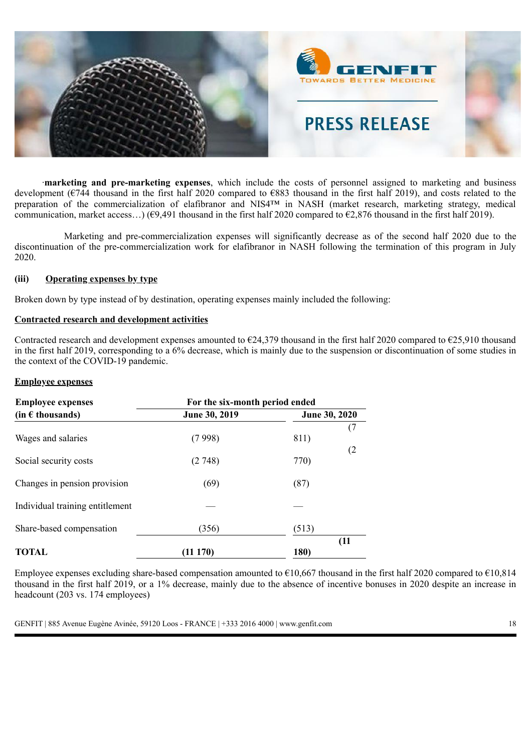

·**marketing and pre-marketing expenses**, which include the costs of personnel assigned to marketing and business development ( $\epsilon$ 744 thousand in the first half 2020 compared to  $\epsilon$ 883 thousand in the first half 2019), and costs related to the preparation of the commercialization of elafibranor and NIS4™ in NASH (market research, marketing strategy, medical communication, market access...) ( $\epsilon$ 9,491 thousand in the first half 2020 compared to  $\epsilon$ 2,876 thousand in the first half 2019).

Marketing and pre-commercialization expenses will significantly decrease as of the second half 2020 due to the discontinuation of the pre-commercialization work for elafibranor in NASH following the termination of this program in July 2020.

### **(iii) Operating expenses by type**

Broken down by type instead of by destination, operating expenses mainly included the following:

#### **Contracted research and development activities**

Contracted research and development expenses amounted to  $E$ 24,379 thousand in the first half 2020 compared to  $E$ 25,910 thousand in the first half 2019, corresponding to a 6% decrease, which is mainly due to the suspension or discontinuation of some studies in the context of the COVID-19 pandemic.

#### **Employee expenses**

| <b>Employee expenses</b>        | For the six-month period ended |               |  |  |  |  |  |
|---------------------------------|--------------------------------|---------------|--|--|--|--|--|
| $(in \in$ thousands)            | June 30, 2019                  | June 30, 2020 |  |  |  |  |  |
| Wages and salaries              | (7998)                         | 811)          |  |  |  |  |  |
| Social security costs           | (2748)                         | (2)<br>770)   |  |  |  |  |  |
| Changes in pension provision    | (69)                           | (87)          |  |  |  |  |  |
| Individual training entitlement |                                |               |  |  |  |  |  |
| Share-based compensation        | (356)                          | (513)         |  |  |  |  |  |
| <b>TOTAL</b>                    | (11 170)                       | (11)<br>180)  |  |  |  |  |  |

Employee expenses excluding share-based compensation amounted to  $\epsilon$ 10,667 thousand in the first half 2020 compared to  $\epsilon$ 10,814 thousand in the first half 2019, or a 1% decrease, mainly due to the absence of incentive bonuses in 2020 despite an increase in headcount (203 vs. 174 employees)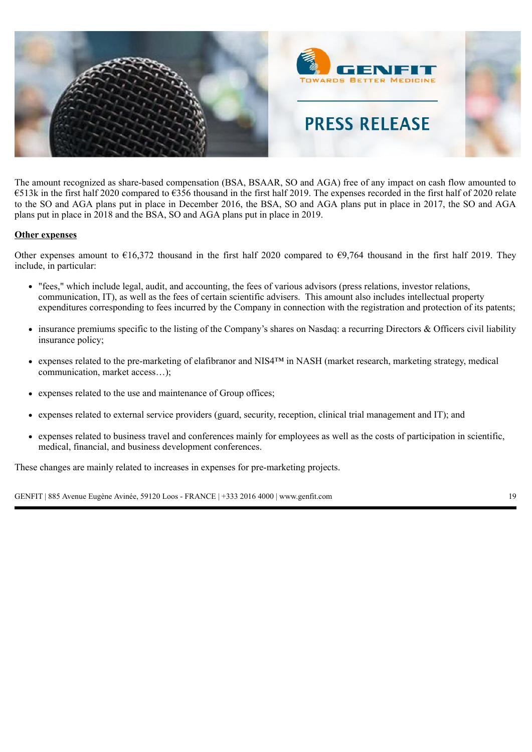

The amount recognized as share-based compensation (BSA, BSAAR, SO and AGA) free of any impact on cash flow amounted to €513k in the first half 2020 compared to €356 thousand in the first half 2019. The expenses recorded in the first half of 2020 relate to the SO and AGA plans put in place in December 2016, the BSA, SO and AGA plans put in place in 2017, the SO and AGA plans put in place in 2018 and the BSA, SO and AGA plans put in place in 2019.

### **Other expenses**

Other expenses amount to  $\epsilon$ 16,372 thousand in the first half 2020 compared to  $\epsilon$ 9,764 thousand in the first half 2019. They include, in particular:

- "fees," which include legal, audit, and accounting, the fees of various advisors (press relations, investor relations, communication, IT), as well as the fees of certain scientific advisers. This amount also includes intellectual property expenditures corresponding to fees incurred by the Company in connection with the registration and protection of its patents;
- insurance premiums specific to the listing of the Company's shares on Nasdaq: a recurring Directors & Officers civil liability insurance policy;
- expenses related to the pre-marketing of elafibranor and NIS4™ in NASH (market research, marketing strategy, medical communication, market access…);
- expenses related to the use and maintenance of Group offices;
- expenses related to external service providers (guard, security, reception, clinical trial management and IT); and
- expenses related to business travel and conferences mainly for employees as well as the costs of participation in scientific, medical, financial, and business development conferences.

These changes are mainly related to increases in expenses for pre-marketing projects.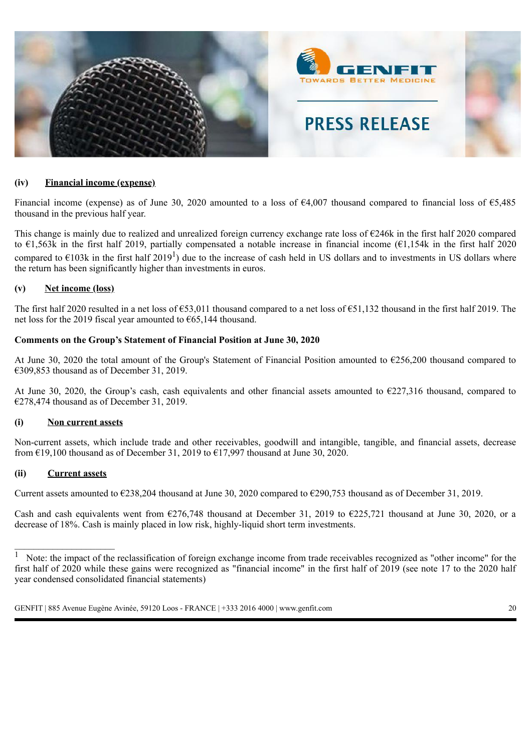

### **(iv) Financial income (expense)**

Financial income (expense) as of June 30, 2020 amounted to a loss of €4,007 thousand compared to financial loss of €5,485 thousand in the previous half year.

This change is mainly due to realized and unrealized foreign currency exchange rate loss of €246k in the first half 2020 compared to  $\epsilon$ 1,563k in the first half 2019, partially compensated a notable increase in financial income ( $\epsilon$ 1,154k in the first half 2020 compared to  $\epsilon$ 103k in the first half 2019<sup>1</sup>) due to the increase of cash held in US dollars and to investments in US dollars where the return has been significantly higher than investments in euros.

### **(v) Net income (loss)**

The first half 2020 resulted in a net loss of €53,011 thousand compared to a net loss of €51,132 thousand in the first half 2019. The net loss for the 2019 fiscal year amounted to €65,144 thousand.

### **Comments on the Group's Statement of Financial Position at June 30, 2020**

At June 30, 2020 the total amount of the Group's Statement of Financial Position amounted to €256,200 thousand compared to  $\epsilon$ 309,853 thousand as of December 31, 2019.

At June 30, 2020, the Group's cash, cash equivalents and other financial assets amounted to  $\epsilon$ 227,316 thousand, compared to €278,474 thousand as of December 31, 2019.

#### **(i) Non current assets**

Non-current assets, which include trade and other receivables, goodwill and intangible, tangible, and financial assets, decrease from  $£19,100$  thousand as of December 31, 2019 to  $£17,997$  thousand at June 30, 2020.

### **(ii) Current assets**

\_\_\_\_\_\_\_\_\_\_\_\_\_\_\_\_\_\_\_\_\_

Current assets amounted to  $\epsilon$ 238,204 thousand at June 30, 2020 compared to  $\epsilon$ 290,753 thousand as of December 31, 2019.

Cash and cash equivalents went from  $\epsilon$ 276,748 thousand at December 31, 2019 to  $\epsilon$ 225,721 thousand at June 30, 2020, or a decrease of 18%. Cash is mainly placed in low risk, highly-liquid short term investments.

 $\overline{1}$  Note: the impact of the reclassification of foreign exchange income from trade receivables recognized as "other income" for the first half of 2020 while these gains were recognized as "financial income" in the first half of 2019 (see note 17 to the 2020 half year condensed consolidated financial statements)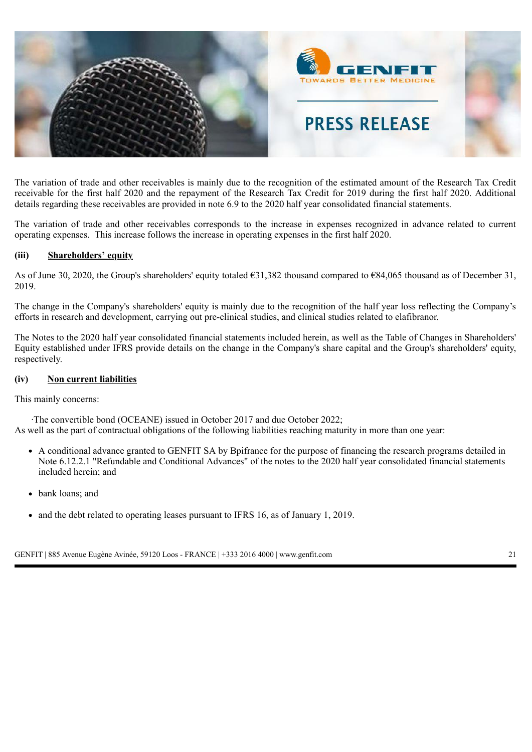

The variation of trade and other receivables is mainly due to the recognition of the estimated amount of the Research Tax Credit receivable for the first half 2020 and the repayment of the Research Tax Credit for 2019 during the first half 2020. Additional details regarding these receivables are provided in note 6.9 to the 2020 half year consolidated financial statements.

The variation of trade and other receivables corresponds to the increase in expenses recognized in advance related to current operating expenses. This increase follows the increase in operating expenses in the first half 2020.

### **(iii) Shareholders' equity**

As of June 30, 2020, the Group's shareholders' equity totaled €31,382 thousand compared to €84,065 thousand as of December 31, 2019.

The change in the Company's shareholders' equity is mainly due to the recognition of the half year loss reflecting the Company's efforts in research and development, carrying out pre-clinical studies, and clinical studies related to elafibranor.

The Notes to the 2020 half year consolidated financial statements included herein, as well as the Table of Changes in Shareholders' Equity established under IFRS provide details on the change in the Company's share capital and the Group's shareholders' equity, respectively.

#### **(iv) Non current liabilities**

This mainly concerns:

 ·The convertible bond (OCEANE) issued in October 2017 and due October 2022; As well as the part of contractual obligations of the following liabilities reaching maturity in more than one year:

- A conditional advance granted to GENFIT SA by Bpifrance for the purpose of financing the research programs detailed in Note 6.12.2.1 "Refundable and Conditional Advances" of the notes to the 2020 half year consolidated financial statements included herein; and
- bank loans; and
- and the debt related to operating leases pursuant to IFRS 16, as of January 1, 2019.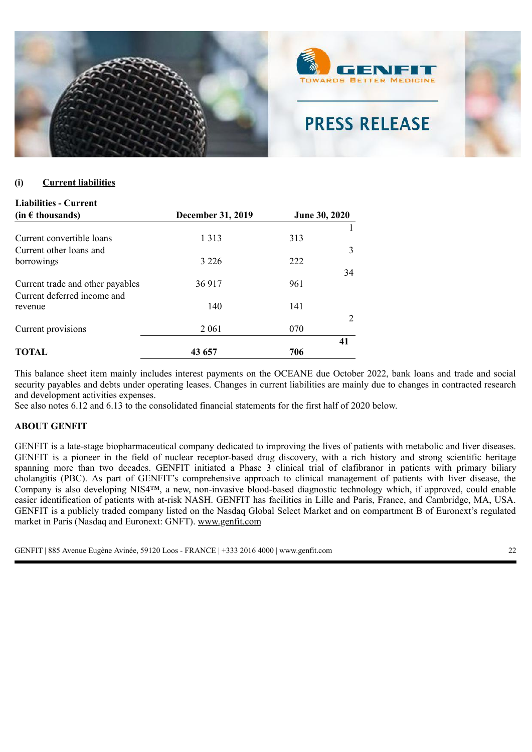

### **(i) Current liabilities**

| <b>Liabilities - Current</b>                                    |                          |     |                      |
|-----------------------------------------------------------------|--------------------------|-----|----------------------|
| $(in \in$ thousands)                                            | <b>December 31, 2019</b> |     | <b>June 30, 2020</b> |
| Current convertible loans<br>Current other loans and            | 1 3 1 3                  | 313 | 3                    |
| borrowings                                                      | 3 2 2 6                  | 222 | 34                   |
| Current trade and other payables<br>Current deferred income and | 36 917                   | 961 |                      |
| revenue                                                         | 140                      | 141 | $\mathfrak{D}$       |
| Current provisions                                              | 2 0 6 1                  | 070 | 41                   |
| TOTAL                                                           | 43 657                   | 706 |                      |

This balance sheet item mainly includes interest payments on the OCEANE due October 2022, bank loans and trade and social security payables and debts under operating leases. Changes in current liabilities are mainly due to changes in contracted research and development activities expenses.

See also notes 6.12 and 6.13 to the consolidated financial statements for the first half of 2020 below.

#### **ABOUT GENFIT**

GENFIT is a late-stage biopharmaceutical company dedicated to improving the lives of patients with metabolic and liver diseases. GENFIT is a pioneer in the field of nuclear receptor-based drug discovery, with a rich history and strong scientific heritage spanning more than two decades. GENFIT initiated a Phase 3 clinical trial of elafibranor in patients with primary biliary cholangitis (PBC). As part of GENFIT's comprehensive approach to clinical management of patients with liver disease, the Company is also developing NIS4™, a new, non-invasive blood-based diagnostic technology which, if approved, could enable easier identification of patients with at-risk NASH. GENFIT has facilities in Lille and Paris, France, and Cambridge, MA, USA. GENFIT is a publicly traded company listed on the Nasdaq Global Select Market and on compartment B of Euronext's regulated market in Paris (Nasdaq and Euronext: GNFT). www.genfit.com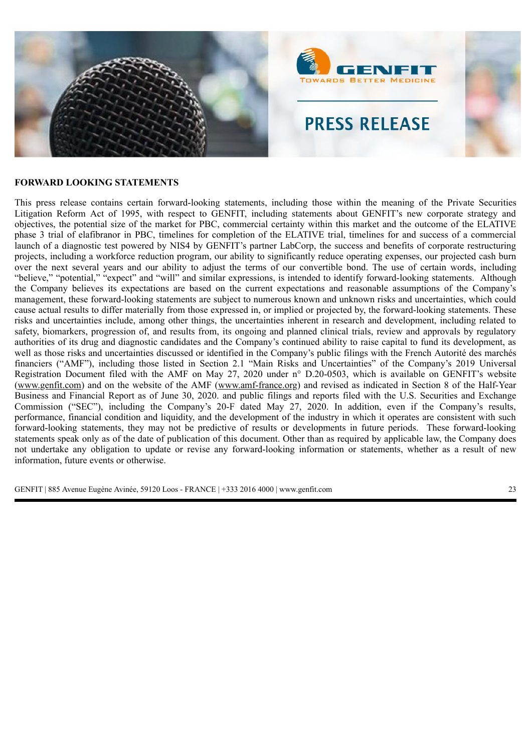

### **FORWARD LOOKING STATEMENTS**

This press release contains certain forward-looking statements, including those within the meaning of the Private Securities Litigation Reform Act of 1995, with respect to GENFIT, including statements about GENFIT's new corporate strategy and objectives, the potential size of the market for PBC, commercial certainty within this market and the outcome of the ELATIVE phase 3 trial of elafibranor in PBC, timelines for completion of the ELATIVE trial, timelines for and success of a commercial launch of a diagnostic test powered by NIS4 by GENFIT's partner LabCorp, the success and benefits of corporate restructuring projects, including a workforce reduction program, our ability to significantly reduce operating expenses, our projected cash burn over the next several years and our ability to adjust the terms of our convertible bond. The use of certain words, including "believe," "potential," "expect" and "will" and similar expressions, is intended to identify forward-looking statements. Although the Company believes its expectations are based on the current expectations and reasonable assumptions of the Company's management, these forward-looking statements are subject to numerous known and unknown risks and uncertainties, which could cause actual results to differ materially from those expressed in, or implied or projected by, the forward-looking statements. These risks and uncertainties include, among other things, the uncertainties inherent in research and development, including related to safety, biomarkers, progression of, and results from, its ongoing and planned clinical trials, review and approvals by regulatory authorities of its drug and diagnostic candidates and the Company's continued ability to raise capital to fund its development, as well as those risks and uncertainties discussed or identified in the Company's public filings with the French Autorité des marchés financiers ("AMF"), including those listed in Section 2.1 "Main Risks and Uncertainties" of the Company's 2019 Universal Registration Document filed with the AMF on May 27, 2020 under n° D.20-0503, which is available on GENFIT's website (www.genfit.com) and on the website of the AMF (www.amf-france.org) and revised as indicated in Section 8 of the Half-Year Business and Financial Report as of June 30, 2020. and public filings and reports filed with the U.S. Securities and Exchange Commission ("SEC"), including the Company's 20-F dated May 27, 2020. In addition, even if the Company's results, performance, financial condition and liquidity, and the development of the industry in which it operates are consistent with such forward-looking statements, they may not be predictive of results or developments in future periods. These forward-looking statements speak only as of the date of publication of this document. Other than as required by applicable law, the Company does not undertake any obligation to update or revise any forward-looking information or statements, whether as a result of new information, future events or otherwise.